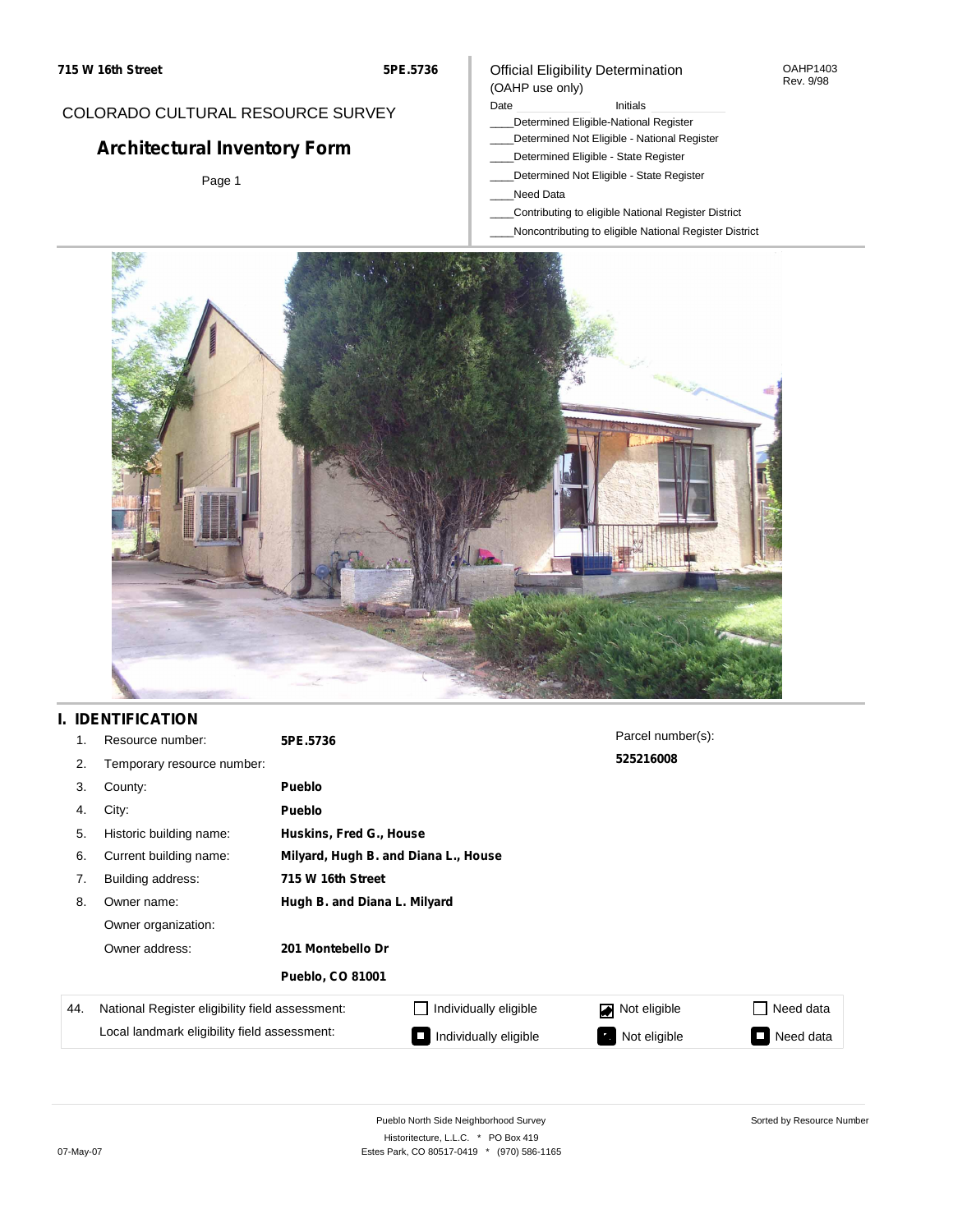#### OAHP1403 Rev. 9/98

### COLORADO CULTURAL RESOURCE SURVEY

# **Architectural Inventory Form**

Page 1

# (OAHP use only)

Official Eligibility Determination

- Date **Initials** Initials
- \_\_\_\_Determined Eligible-National Register \_\_\_\_Determined Not Eligible - National Register
- \_\_\_\_Determined Eligible State Register
- \_\_\_\_Determined Not Eligible State Register
- \_\_\_\_Need Data
- \_\_\_\_Contributing to eligible National Register District
- \_\_\_\_Noncontributing to eligible National Register District



## **I. IDENTIFICATION**

| 1.  | Resource number:                                | 5PE.5736                     |                                      | Parcel number(s):  |                     |  |  |
|-----|-------------------------------------------------|------------------------------|--------------------------------------|--------------------|---------------------|--|--|
| 2.  | Temporary resource number:                      |                              |                                      | 525216008          |                     |  |  |
| 3.  | County:                                         | <b>Pueblo</b>                |                                      |                    |                     |  |  |
| 4.  | City:                                           | <b>Pueblo</b>                |                                      |                    |                     |  |  |
| 5.  | Historic building name:                         |                              | Huskins, Fred G., House              |                    |                     |  |  |
| 6.  | Current building name:                          |                              | Milyard, Hugh B. and Diana L., House |                    |                     |  |  |
| 7.  | Building address:                               | 715 W 16th Street            |                                      |                    |                     |  |  |
| 8.  | Owner name:                                     | Hugh B. and Diana L. Milyard |                                      |                    |                     |  |  |
|     | Owner organization:                             |                              |                                      |                    |                     |  |  |
|     | Owner address:                                  | 201 Montebello Dr            |                                      |                    |                     |  |  |
|     |                                                 | <b>Pueblo, CO 81001</b>      |                                      |                    |                     |  |  |
| 44. | National Register eligibility field assessment: |                              | Individually eligible                | Not eligible       | Need data           |  |  |
|     | Local landmark eligibility field assessment:    |                              | Individually eligible                | Not eligible<br>в. | Need data<br>$\sim$ |  |  |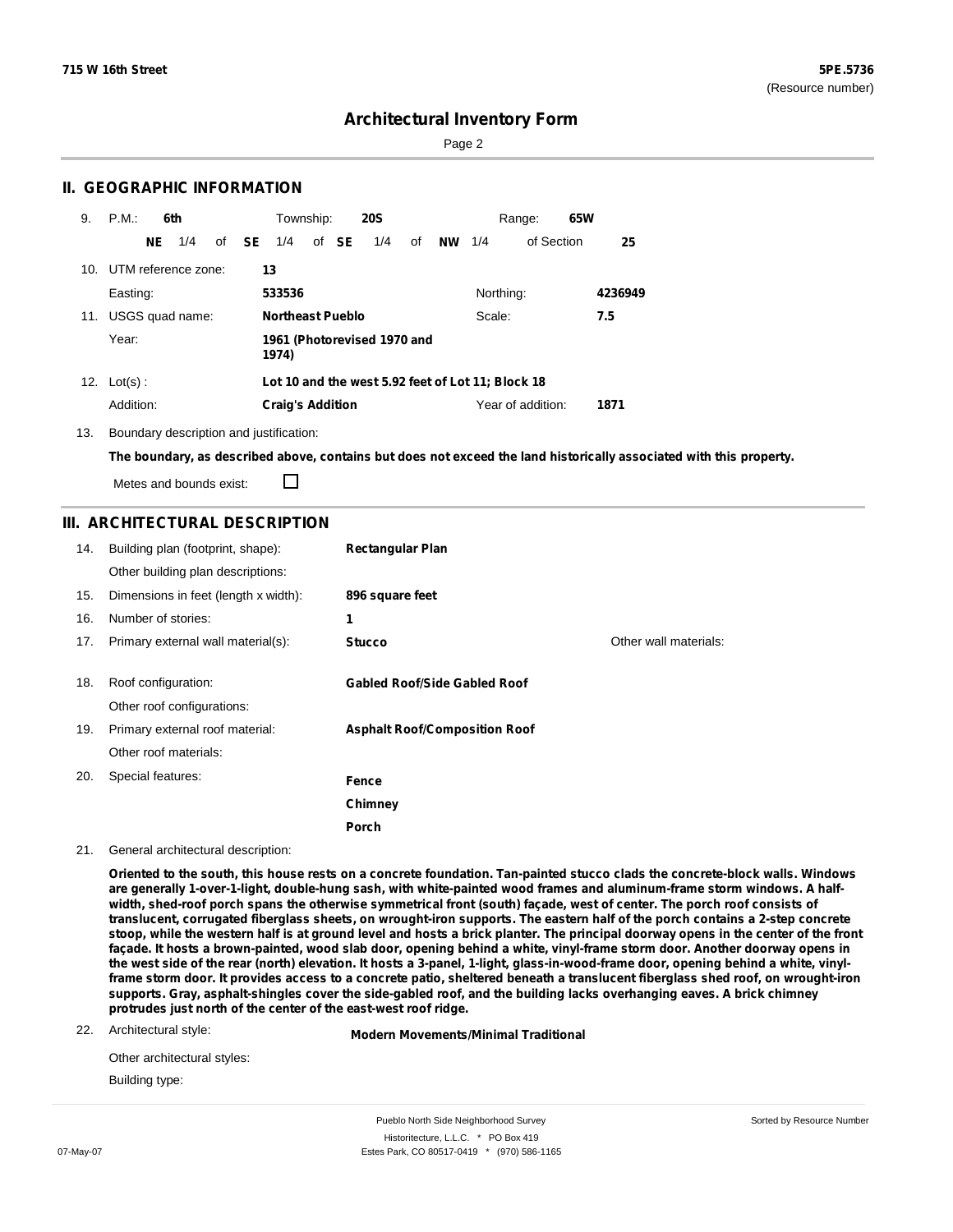Sorted by Resource Number

### **Architectural Inventory Form**

Page 2

### **II. GEOGRAPHIC INFORMATION**

| 9.  | P.M.                    |     | 6th             |              | Township:               |       | <b>20S</b>                  |    |           |           | Range:                                            | 65W |         |
|-----|-------------------------|-----|-----------------|--------------|-------------------------|-------|-----------------------------|----|-----------|-----------|---------------------------------------------------|-----|---------|
|     |                         | NE. | 1/4             | of <b>SE</b> | 1/4                     | of SE | 1/4                         | οf | <b>NW</b> | 1/4       | of Section                                        |     | 25      |
|     | 10. UTM reference zone: |     |                 |              | 13                      |       |                             |    |           |           |                                                   |     |         |
|     | Easting:                |     |                 |              | 533536                  |       |                             |    |           | Northing: |                                                   |     | 4236949 |
| 11. |                         |     | USGS quad name: |              | <b>Northeast Pueblo</b> |       |                             |    |           | Scale:    |                                                   |     | 7.5     |
|     | Year:                   |     |                 |              | 1974)                   |       | 1961 (Photorevised 1970 and |    |           |           |                                                   |     |         |
|     | 12. $Lot(s)$ :          |     |                 |              |                         |       |                             |    |           |           | Lot 10 and the west 5.92 feet of Lot 11; Block 18 |     |         |
|     | Addition:               |     |                 |              | <b>Craig's Addition</b> |       |                             |    |           |           | Year of addition:                                 |     | 1871    |

13. Boundary description and justification:

The boundary, as described above, contains but does not exceed the land historically associated with this property.

Metes and bounds exist:

П

### **III. ARCHITECTURAL DESCRIPTION**

| 14. | Building plan (footprint, shape):<br>Other building plan descriptions: | <b>Rectangular Plan</b>              |                       |
|-----|------------------------------------------------------------------------|--------------------------------------|-----------------------|
| 15. | Dimensions in feet (length x width):                                   | 896 square feet                      |                       |
| 16. | Number of stories:                                                     | 1                                    |                       |
| 17. | Primary external wall material(s):                                     | <b>Stucco</b>                        | Other wall materials: |
|     |                                                                        |                                      |                       |
| 18. | Roof configuration:                                                    | <b>Gabled Roof/Side Gabled Roof</b>  |                       |
|     | Other roof configurations:                                             |                                      |                       |
| 19. | Primary external roof material:                                        | <b>Asphalt Roof/Composition Roof</b> |                       |
|     | Other roof materials:                                                  |                                      |                       |
| 20. | Special features:                                                      | Fence                                |                       |
|     |                                                                        | Chimney                              |                       |
|     |                                                                        | <b>Porch</b>                         |                       |

21. General architectural description:

Oriented to the south, this house rests on a concrete foundation. Tan-painted stucco clads the concrete-block walls. Windows are generally 1-over-1-light, double-hung sash, with white-painted wood frames and aluminum-frame storm windows. A halfwidth, shed-roof porch spans the otherwise symmetrical front (south) façade, west of center. The porch roof consists of translucent, corrugated fiberglass sheets, on wrought-iron supports. The eastern half of the porch contains a 2-step concrete stoop, while the western half is at ground level and hosts a brick planter. The principal doorway opens in the center of the front façade. It hosts a brown-painted, wood slab door, opening behind a white, vinyl-frame storm door. Another doorway opens in the west side of the rear (north) elevation. It hosts a 3-panel, 1-light, glass-in-wood-frame door, opening behind a white, vinylframe storm door. It provides access to a concrete patio, sheltered beneath a translucent fiberglass shed roof, on wrought-iron supports. Gray, asphalt-shingles cover the side-gabled roof, and the building lacks overhanging eaves. A brick chimney **protrudes just north of the center of the east-west roof ridge.**

22. Architectural style:

**Modern Movements/Minimal Traditional**

| Other architectural styles: |
|-----------------------------|
| Building type:              |

Pueblo North Side Neighborhood Survey Historitecture, L.L.C. \* PO Box 419 07-May-07 **Estes Park, CO 80517-0419** \* (970) 586-1165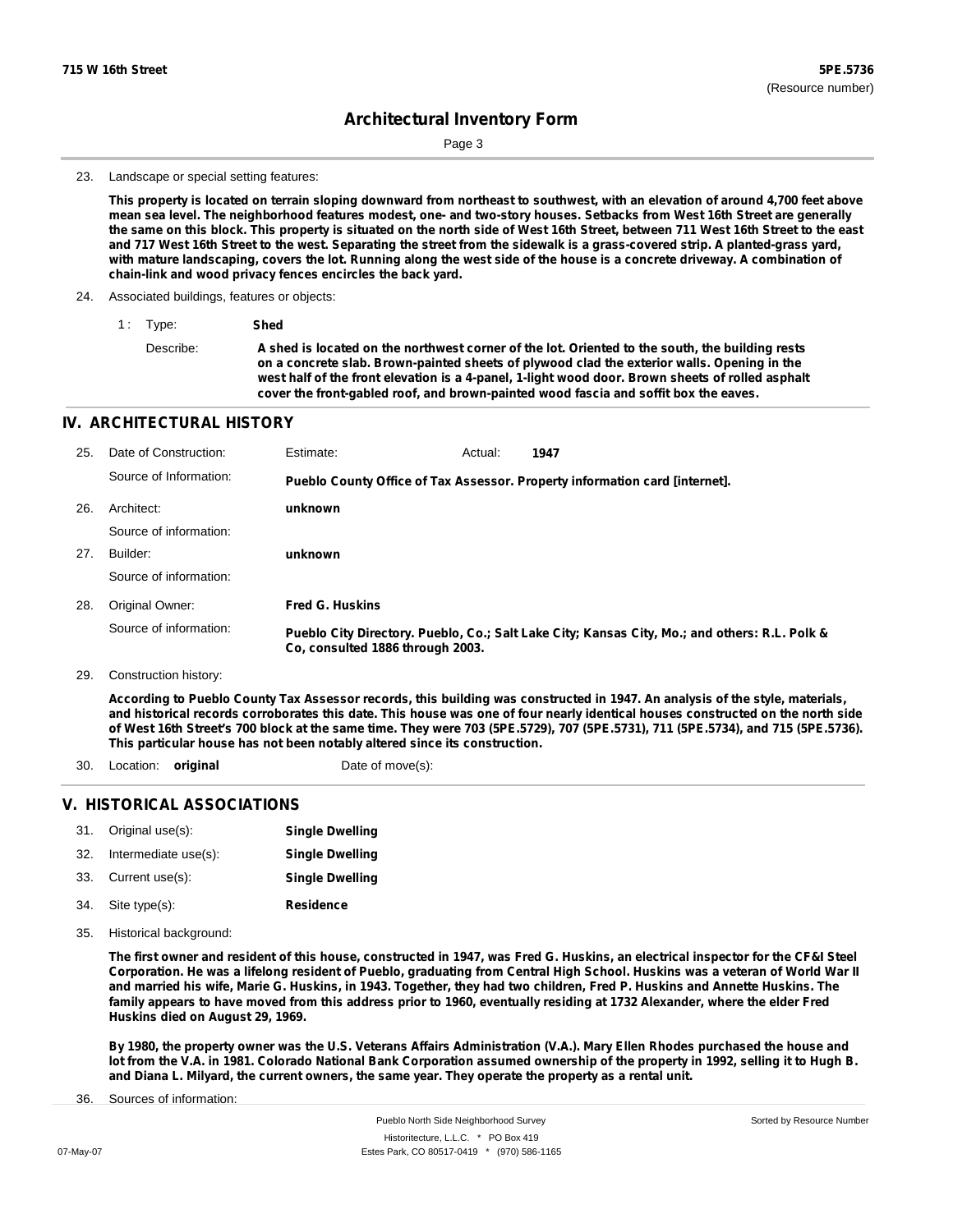Page 3

#### 23. Landscape or special setting features:

This property is located on terrain sloping downward from northeast to southwest, with an elevation of around 4,700 feet above mean sea level. The neighborhood features modest, one- and two-story houses. Setbacks from West 16th Street are generally the same on this block. This property is situated on the north side of West 16th Street, between 711 West 16th Street to the east and 717 West 16th Street to the west. Separating the street from the sidewalk is a grass-covered strip. A planted-grass yard, with mature landscaping, covers the lot. Running along the west side of the house is a concrete driveway. A combination of **chain-link and wood privacy fences encircles the back yard.**

- 24. Associated buildings, features or objects:
	- 1 : Type: **Shed**

Describe: A shed is located on the northwest corner of the lot. Oriented to the south, the building rests **on a concrete slab. Brown-painted sheets of plywood clad the exterior walls. Opening in the west half of the front elevation is a 4-panel, 1-light wood door. Brown sheets of rolled asphalt cover the front-gabled roof, and brown-painted wood fascia and soffit box the eaves.**

#### **IV. ARCHITECTURAL HISTORY**

| 25. | Date of Construction:  | Estimate:                        | Actual: | 1947                                                                                          |
|-----|------------------------|----------------------------------|---------|-----------------------------------------------------------------------------------------------|
|     | Source of Information: |                                  |         | Pueblo County Office of Tax Assessor. Property information card [internet].                   |
| 26. | Architect:             | unknown                          |         |                                                                                               |
|     | Source of information: |                                  |         |                                                                                               |
| 27. | Builder:               | unknown                          |         |                                                                                               |
|     | Source of information: |                                  |         |                                                                                               |
| 28. | Original Owner:        | <b>Fred G. Huskins</b>           |         |                                                                                               |
|     | Source of information: | Co, consulted 1886 through 2003. |         | Pueblo City Directory. Pueblo, Co.; Salt Lake City; Kansas City, Mo.; and others: R.L. Polk & |

29. Construction history:

According to Pueblo County Tax Assessor records, this building was constructed in 1947. An analysis of the style, materials, and historical records corroborates this date. This house was one of four nearly identical houses constructed on the north side of West 16th Street's 700 block at the same time. They were 703 (5PE.5729), 707 (5PE.5731), 711 (5PE.5734), and 715 (5PE.5736). **This particular house has not been notably altered since its construction.**

30. Location: **original** Date of move(s):

### **V. HISTORICAL ASSOCIATIONS**

| 31. | Original use(s):     | <b>Single Dwelling</b> |
|-----|----------------------|------------------------|
| 32. | Intermediate use(s): | <b>Single Dwelling</b> |
| 33. | Current use(s):      | <b>Single Dwelling</b> |

- **Residence** Site type(s): 34.
- 35. Historical background:

The first owner and resident of this house, constructed in 1947, was Fred G. Huskins, an electrical inspector for the CF&I Steel Corporation. He was a lifelong resident of Pueblo, graduating from Central High School. Huskins was a veteran of World War II and married his wife, Marie G. Huskins, in 1943. Together, they had two children, Fred P. Huskins and Annette Huskins. The family appears to have moved from this address prior to 1960, eventually residing at 1732 Alexander, where the elder Fred **Huskins died on August 29, 1969.**

By 1980, the property owner was the U.S. Veterans Affairs Administration (V.A.). Mary Ellen Rhodes purchased the house and lot from the V.A. in 1981. Colorado National Bank Corporation assumed ownership of the property in 1992, selling it to Hugh B. and Diana L. Milyard, the current owners, the same year. They operate the property as a rental unit.

Sources of information: 36.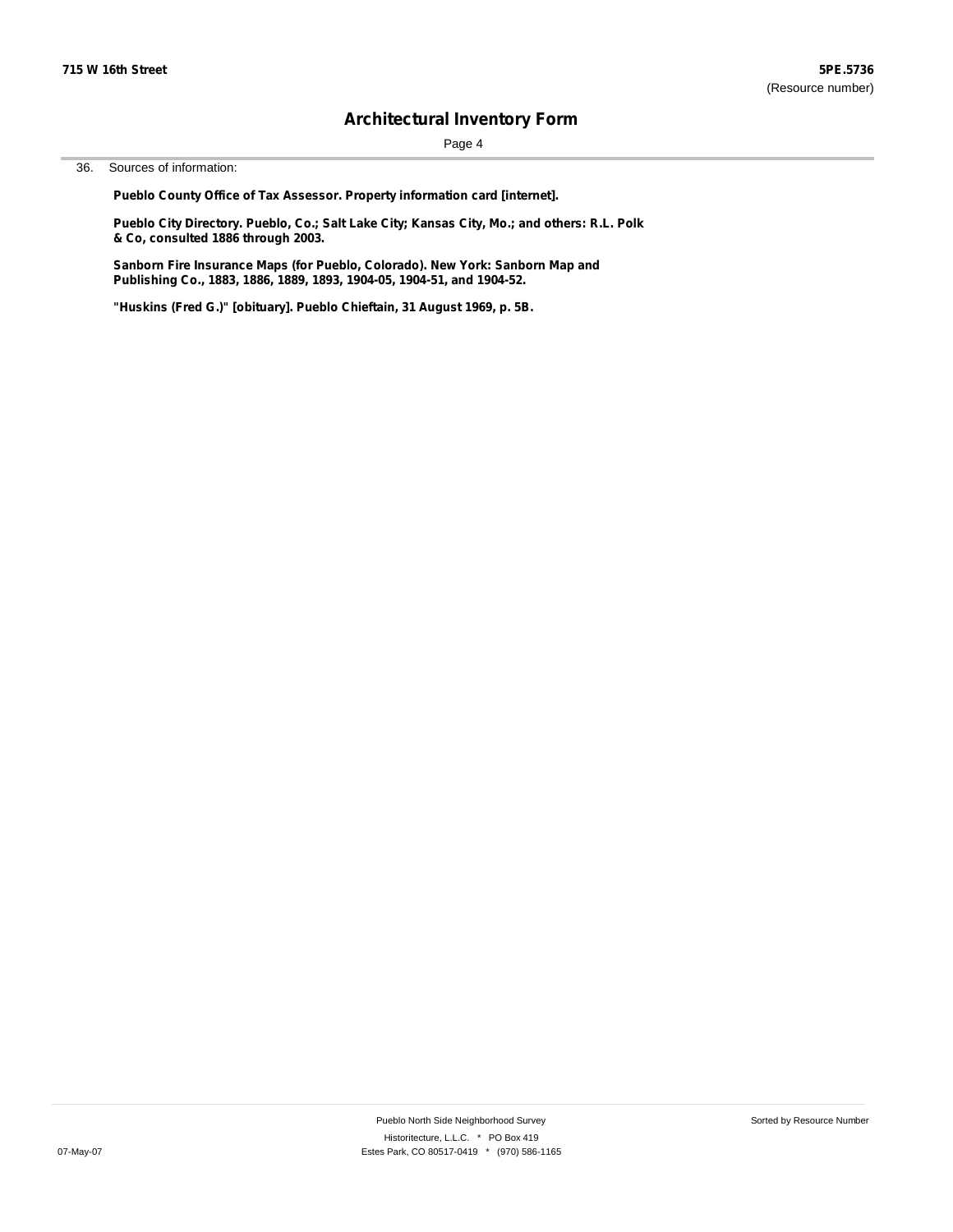Page 4

36. Sources of information:

**Pueblo County Office of Tax Assessor. Property information card [internet].**

**Pueblo City Directory. Pueblo, Co.; Salt Lake City; Kansas City, Mo.; and others: R.L. Polk & Co, consulted 1886 through 2003.**

**Sanborn Fire Insurance Maps (for Pueblo, Colorado). New York: Sanborn Map and Publishing Co., 1883, 1886, 1889, 1893, 1904-05, 1904-51, and 1904-52.**

**"Huskins (Fred G.)" [obituary]. Pueblo Chieftain, 31 August 1969, p. 5B.**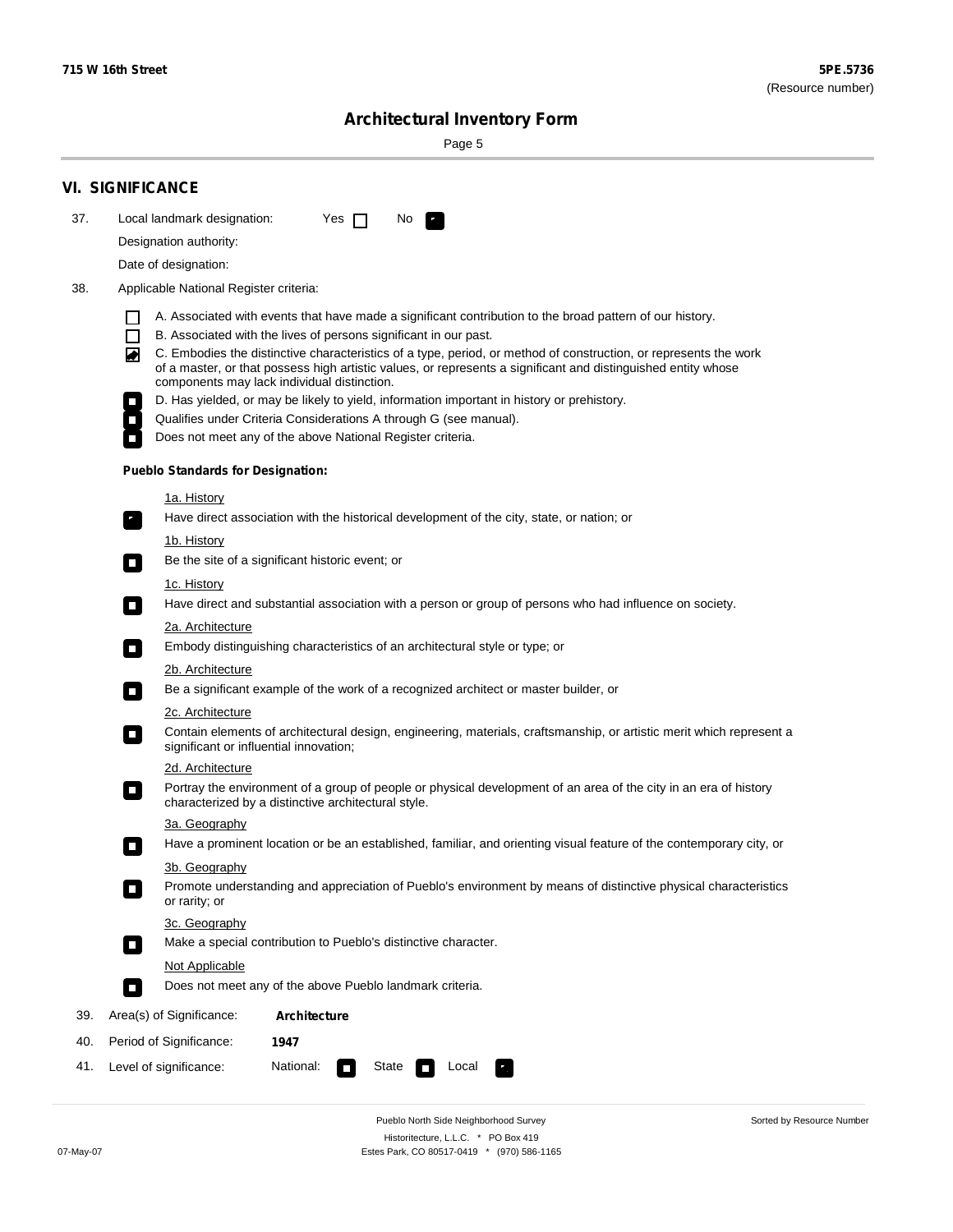÷

Sorted by Resource Number

# **Architectural Inventory Form**

Page 5

|     | <b>VI. SIGNIFICANCE</b>                                                                                                                                                                                                                                                          |  |  |  |  |  |  |
|-----|----------------------------------------------------------------------------------------------------------------------------------------------------------------------------------------------------------------------------------------------------------------------------------|--|--|--|--|--|--|
| 37. | Local landmark designation:<br>Yes $\Box$<br>No.<br>$\mathbf{r}_\perp$                                                                                                                                                                                                           |  |  |  |  |  |  |
|     | Designation authority:                                                                                                                                                                                                                                                           |  |  |  |  |  |  |
|     | Date of designation:                                                                                                                                                                                                                                                             |  |  |  |  |  |  |
| 38. | Applicable National Register criteria:                                                                                                                                                                                                                                           |  |  |  |  |  |  |
|     | A. Associated with events that have made a significant contribution to the broad pattern of our history.                                                                                                                                                                         |  |  |  |  |  |  |
|     | B. Associated with the lives of persons significant in our past.<br>l I                                                                                                                                                                                                          |  |  |  |  |  |  |
|     | C. Embodies the distinctive characteristics of a type, period, or method of construction, or represents the work<br>of a master, or that possess high artistic values, or represents a significant and distinguished entity whose<br>components may lack individual distinction. |  |  |  |  |  |  |
|     | D. Has yielded, or may be likely to yield, information important in history or prehistory.                                                                                                                                                                                       |  |  |  |  |  |  |
|     | Qualifies under Criteria Considerations A through G (see manual).                                                                                                                                                                                                                |  |  |  |  |  |  |
|     | Does not meet any of the above National Register criteria.                                                                                                                                                                                                                       |  |  |  |  |  |  |
|     | <b>Pueblo Standards for Designation:</b>                                                                                                                                                                                                                                         |  |  |  |  |  |  |
|     | <u>1a. History</u>                                                                                                                                                                                                                                                               |  |  |  |  |  |  |
|     | Have direct association with the historical development of the city, state, or nation; or<br>$\mathbf{r}_\perp$                                                                                                                                                                  |  |  |  |  |  |  |
|     | <u>1b. History</u><br>Be the site of a significant historic event; or<br>$\blacksquare$                                                                                                                                                                                          |  |  |  |  |  |  |
|     | 1c. History                                                                                                                                                                                                                                                                      |  |  |  |  |  |  |
|     | Have direct and substantial association with a person or group of persons who had influence on society.<br>$\blacksquare$                                                                                                                                                        |  |  |  |  |  |  |
|     | 2a. Architecture                                                                                                                                                                                                                                                                 |  |  |  |  |  |  |
|     | Embody distinguishing characteristics of an architectural style or type; or<br>$\Box$                                                                                                                                                                                            |  |  |  |  |  |  |
|     | 2b. Architecture                                                                                                                                                                                                                                                                 |  |  |  |  |  |  |
|     | Be a significant example of the work of a recognized architect or master builder, or<br>$\mathcal{L}_{\mathcal{A}}$                                                                                                                                                              |  |  |  |  |  |  |
|     | 2c. Architecture                                                                                                                                                                                                                                                                 |  |  |  |  |  |  |
|     | Contain elements of architectural design, engineering, materials, craftsmanship, or artistic merit which represent a<br>$\mathcal{L}_{\mathcal{A}}$<br>significant or influential innovation;                                                                                    |  |  |  |  |  |  |
|     | 2d. Architecture                                                                                                                                                                                                                                                                 |  |  |  |  |  |  |
|     | Portray the environment of a group of people or physical development of an area of the city in an era of history<br>$\mathcal{L}_{\mathcal{A}}$<br>characterized by a distinctive architectural style.                                                                           |  |  |  |  |  |  |
|     | 3a. Geography                                                                                                                                                                                                                                                                    |  |  |  |  |  |  |
|     | Have a prominent location or be an established, familiar, and orienting visual feature of the contemporary city, or<br>П                                                                                                                                                         |  |  |  |  |  |  |
|     | 3b. Geography                                                                                                                                                                                                                                                                    |  |  |  |  |  |  |
|     | Promote understanding and appreciation of Pueblo's environment by means of distinctive physical characteristics<br>or rarity; or                                                                                                                                                 |  |  |  |  |  |  |
|     | 3c. Geography                                                                                                                                                                                                                                                                    |  |  |  |  |  |  |
|     | Make a special contribution to Pueblo's distinctive character.<br>$\overline{\phantom{a}}$                                                                                                                                                                                       |  |  |  |  |  |  |
|     | Not Applicable                                                                                                                                                                                                                                                                   |  |  |  |  |  |  |
|     | Does not meet any of the above Pueblo landmark criteria.<br>$\overline{\phantom{a}}$                                                                                                                                                                                             |  |  |  |  |  |  |
| 39. | Area(s) of Significance:<br>Architecture                                                                                                                                                                                                                                         |  |  |  |  |  |  |
| 40. | Period of Significance:<br>1947                                                                                                                                                                                                                                                  |  |  |  |  |  |  |
| 41. | National:<br>Level of significance:<br>State<br>Local                                                                                                                                                                                                                            |  |  |  |  |  |  |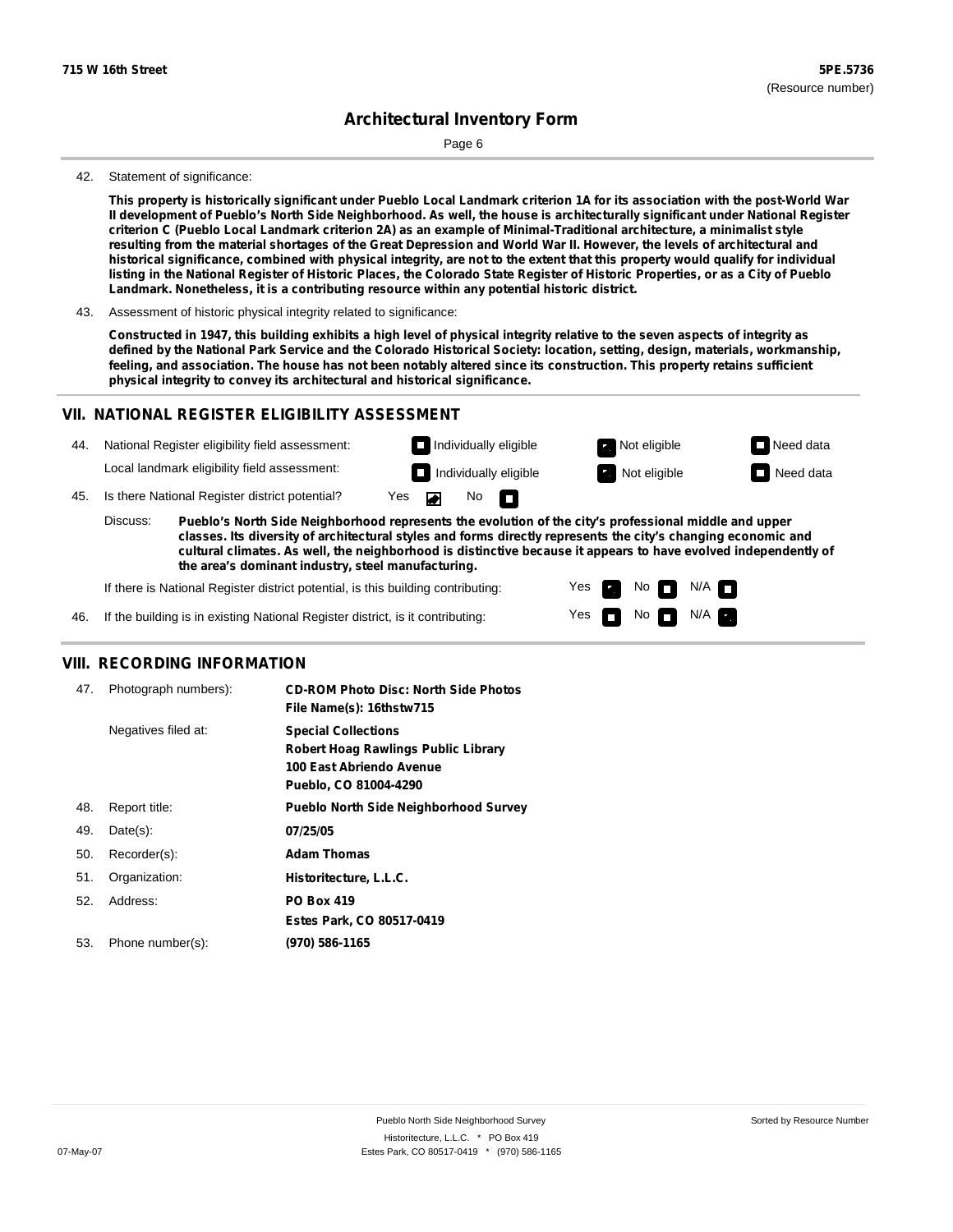Page 6

#### 42. Statement of significance:

This property is historically significant under Pueblo Local Landmark criterion 1A for its association with the post-World War Il development of Pueblo's North Side Neighborhood. As well, the house is architecturally significant under National Register criterion C (Pueblo Local Landmark criterion 2A) as an example of Minimal-Traditional architecture, a minimalist style resulting from the material shortages of the Great Depression and World War II. However, the levels of architectural and historical significance, combined with physical integrity, are not to the extent that this property would qualify for individual listing in the National Register of Historic Places, the Colorado State Register of Historic Properties, or as a City of Pueblo **Landmark. Nonetheless, it is a contributing resource within any potential historic district.**

43. Assessment of historic physical integrity related to significance:

Constructed in 1947, this building exhibits a high level of physical integrity relative to the seven aspects of integrity as defined by the National Park Service and the Colorado Historical Society: location, setting, design, materials, workmanship, feeling, and association. The house has not been notably altered since its construction. This property retains sufficient **physical integrity to convey its architectural and historical significance.**

### **VII. NATIONAL REGISTER ELIGIBILITY ASSESSMENT**

| 44. | National Register eligibility field assessment: | Not eligible<br>Individually eligible                                                                 | $\Box$ Need data |
|-----|-------------------------------------------------|-------------------------------------------------------------------------------------------------------|------------------|
|     | Local landmark eligibility field assessment:    | $\Box$ Individually eligible<br>Not eligible                                                          | $\Box$ Need data |
| 45. | Is there National Register district potential?  | No $\blacksquare$<br>Yes $\blacksquare$                                                               |                  |
|     | Discuss:                                        | Pueblo's North Side Neighborhood represents the evolution of the city's professional middle and upper |                  |

**classes. Its diversity of architectural styles and forms directly represents the city's changing economic and cultural climates. As well, the neighborhood is distinctive because it appears to have evolved independently of the area's dominant industry, steel manufacturing.**

Yes

Yes **not** Not N/A

Non<sub>d</sub> N/A

If there is National Register district potential, is this building contributing:

46. If the building is in existing National Register district, is it contributing:

#### **VIII. RECORDING INFORMATION**

| 47. | Photograph numbers): | <b>CD-ROM Photo Disc: North Side Photos</b><br>File Name(s): 16thstw715                                                       |
|-----|----------------------|-------------------------------------------------------------------------------------------------------------------------------|
|     | Negatives filed at:  | <b>Special Collections</b><br><b>Robert Hoag Rawlings Public Library</b><br>100 East Abriendo Avenue<br>Pueblo, CO 81004-4290 |
| 48. | Report title:        | <b>Pueblo North Side Neighborhood Survey</b>                                                                                  |
| 49. | $Date(s)$ :          | 07/25/05                                                                                                                      |
| 50. | Recorder(s):         | <b>Adam Thomas</b>                                                                                                            |
| 51. | Organization:        | Historitecture, L.L.C.                                                                                                        |
| 52. | Address:             | <b>PO Box 419</b>                                                                                                             |
|     |                      | Estes Park, CO 80517-0419                                                                                                     |
| 53. | Phone number(s):     | (970) 586-1165                                                                                                                |
|     |                      |                                                                                                                               |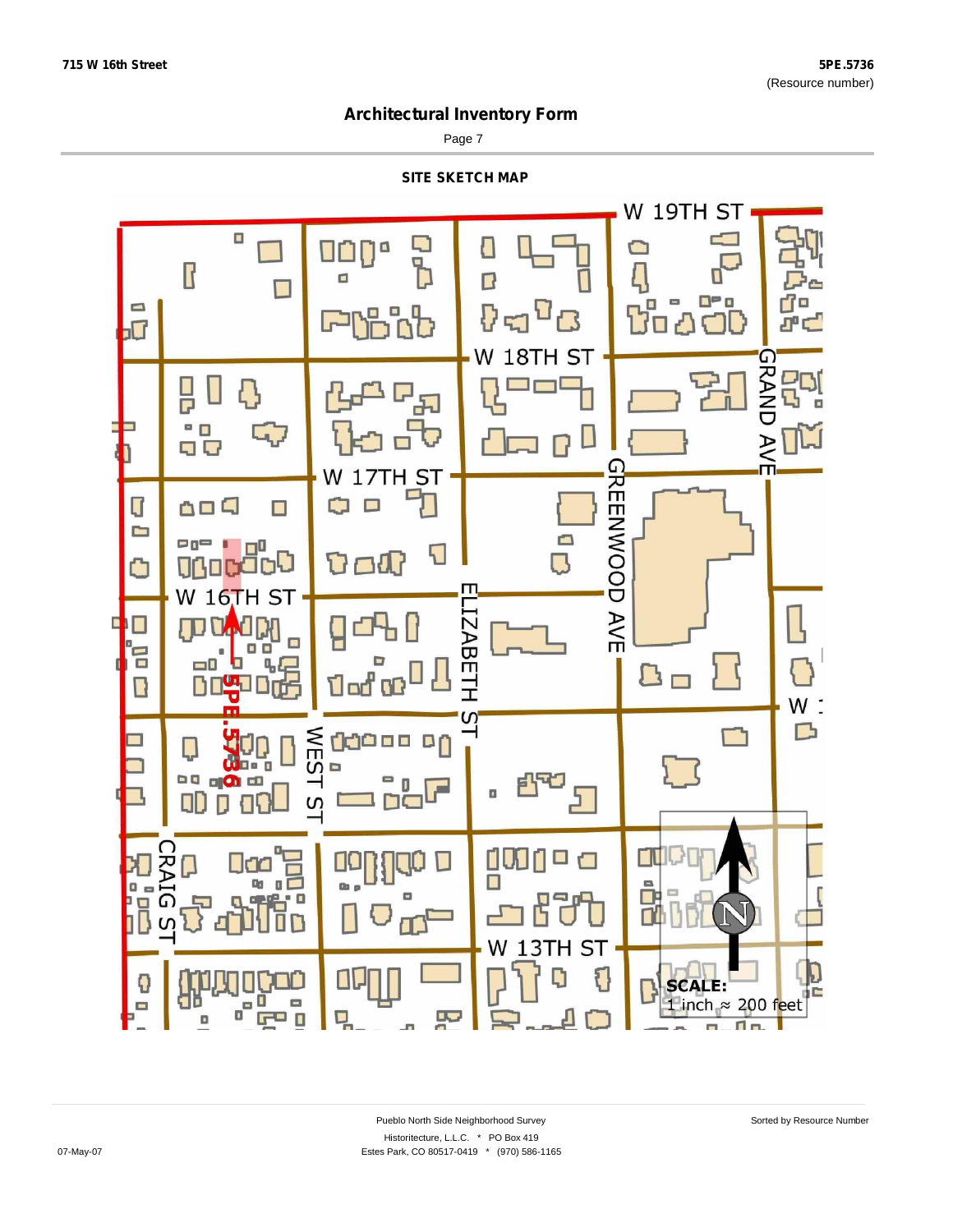Page 7